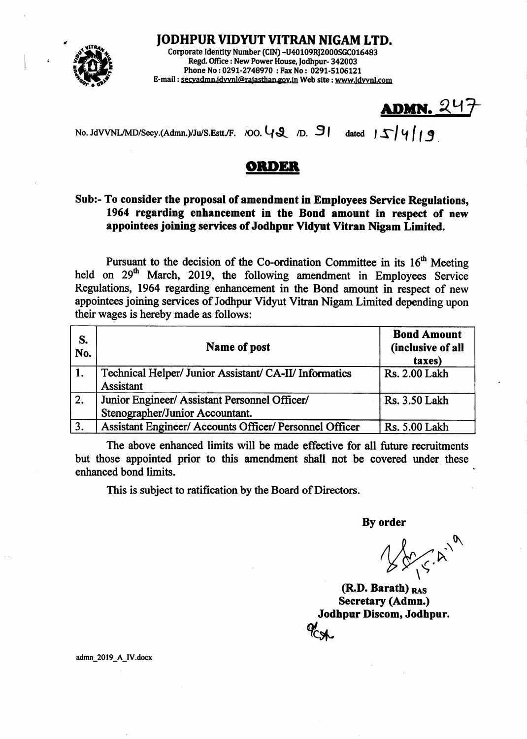

JODHPUR VIDYUT VITRAN NIGAM LTD.

Corporate Identity Number (CIN) -U40109RJ2000SGC016483 Regd. Office : New Power House, Jodhpur- 342003 Phone No: 0291-2748970 : Fax No: 0291-5106121 E-mail : secvadmn.jdvvnl@rajasthan.gov.in Web site : www.idvvnl.com

 $ADMN. 247$ 

No. JdVVNL/MD/Secy.(Admn.)/Ju/S.Estt./F. /OO.  $\mathcal{U}Q$  /D. 9l dated  $|\mathcal{L}|$   $\mathcal{U}|$   $\mathcal{I}$   $\mathcal{I}$ 

## ORDER

## Sub:- To consider the proposal of amendment in Employees Service Regulations, 1964 regarding enhancement in the Bond amount in respect of new appointees joining services of Jodhpur Vidyut Vitran Nigam Limited.

Pursuant to the decision of the Co-ordination Committee in its  $16<sup>th</sup>$  Meeting held on  $29<sup>th</sup>$  March, 2019, the following amendment in Employees Service Regulations, 1964 regarding enhancement in the Bond amount in respect of new appointees joining services of Jodhpur Vidyut Vitran Nigam Limited depending upon their wages is hereby made as follows:

| S.<br>No. | Name of post                                                                     | <b>Bond Amount</b><br>(inclusive of all<br>taxes) |
|-----------|----------------------------------------------------------------------------------|---------------------------------------------------|
|           | Technical Helper/ Junior Assistant/ CA-II/ Informatics<br>Assistant              | Rs. 2.00 Lakh                                     |
| 2.        | Junior Engineer/ Assistant Personnel Officer/<br>Stenographer/Junior Accountant. | Rs. 3.50 Lakh                                     |
| 3.        | Assistant Engineer/ Accounts Officer/ Personnel Officer                          | Rs. 5.00 Lakh                                     |

The above enhanced limits will be made effective for all future recruitnents but those appointed prior to this amendment shall not be covered under these enhanced bond limits.

This is subject to ratification by the Board of Directors.

By order

By order<br>  $\bigvee_{\forall} \bigvee_{\forall} \bigvee_{\forall}$ <br>
(R.D. Barath)  $_{\text{RAS}}$  $\bm{\kappa}^2$ 

Secretary (Admn.) Jodhpur Discom, Jodhpur. ol<br>CA

admn\_2019\_A\_IV.docx